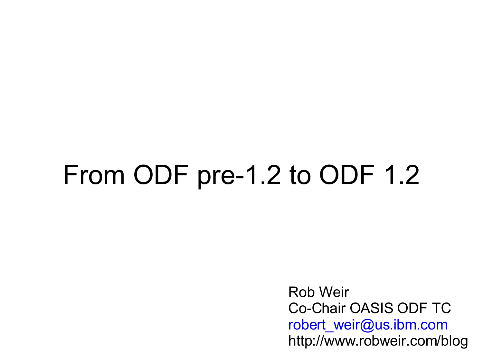### From ODF pre-1.2 to ODF 1.2

Rob Weir Co-Chair OASIS ODF TC [robert\\_weir@us.ibm.com](mailto:robert_weir@us.ibm.com) http://www.robweir.com/blog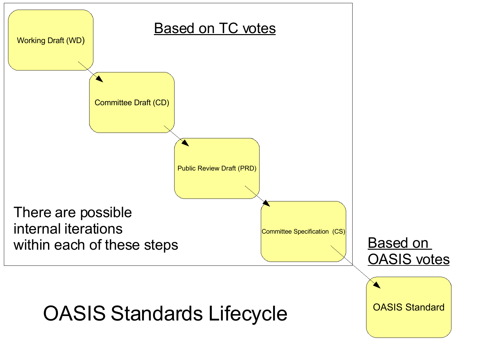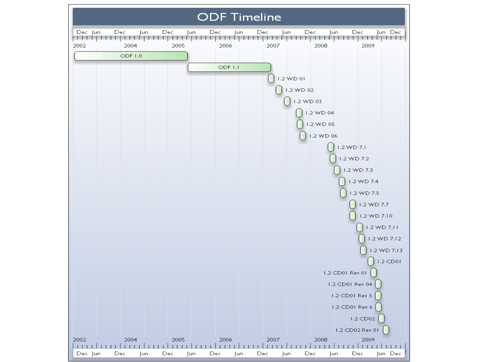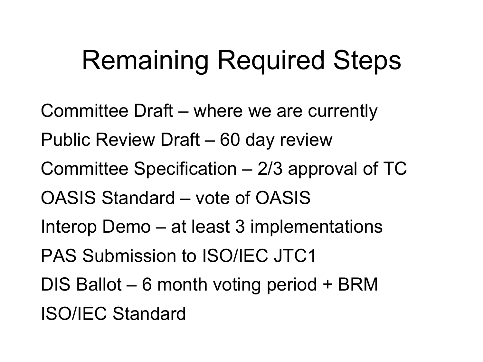# Remaining Required Steps

Committee Draft – where we are currently Public Review Draft – 60 day review Committee Specification – 2/3 approval of TC OASIS Standard – vote of OASIS Interop Demo – at least 3 implementations PAS Submission to ISO/IEC JTC1 DIS Ballot – 6 month voting period + BRM ISO/IEC Standard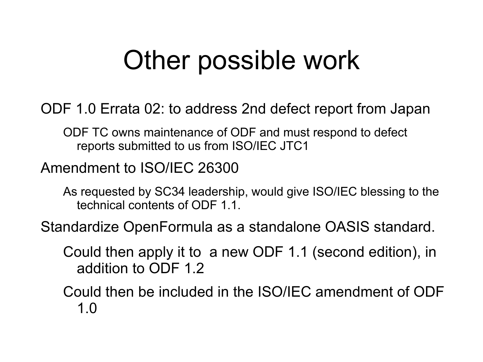### Other possible work

ODF 1.0 Errata 02: to address 2nd defect report from Japan

ODF TC owns maintenance of ODF and must respond to defect reports submitted to us from ISO/IEC JTC1

Amendment to ISO/IEC 26300

As requested by SC34 leadership, would give ISO/IEC blessing to the technical contents of ODF 1.1.

Standardize OpenFormula as a standalone OASIS standard.

Could then apply it to a new ODF 1.1 (second edition), in addition to ODF 1.2

Could then be included in the ISO/IEC amendment of ODF 1.0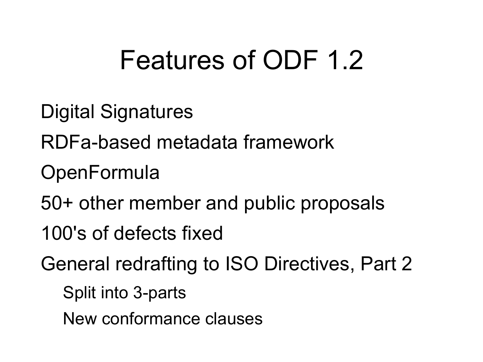# Features of ODF 1.2

- Digital Signatures
- RDFa-based metadata framework
- **OpenFormula**
- 50+ other member and public proposals
- 100's of defects fixed
- General redrafting to ISO Directives, Part 2
	- Split into 3-parts
	- New conformance clauses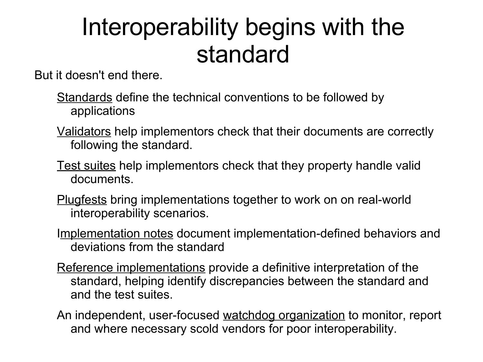#### Interoperability begins with the standard

But it doesn't end there.

- Standards define the technical conventions to be followed by applications
- Validators help implementors check that their documents are correctly following the standard.
- Test suites help implementors check that they property handle valid documents.
- Plugfests bring implementations together to work on on real-world interoperability scenarios.
- Implementation notes document implementation-defined behaviors and deviations from the standard
- Reference implementations provide a definitive interpretation of the standard, helping identify discrepancies between the standard and and the test suites.
- An independent, user-focused watchdog organization to monitor, report and where necessary scold vendors for poor interoperability.